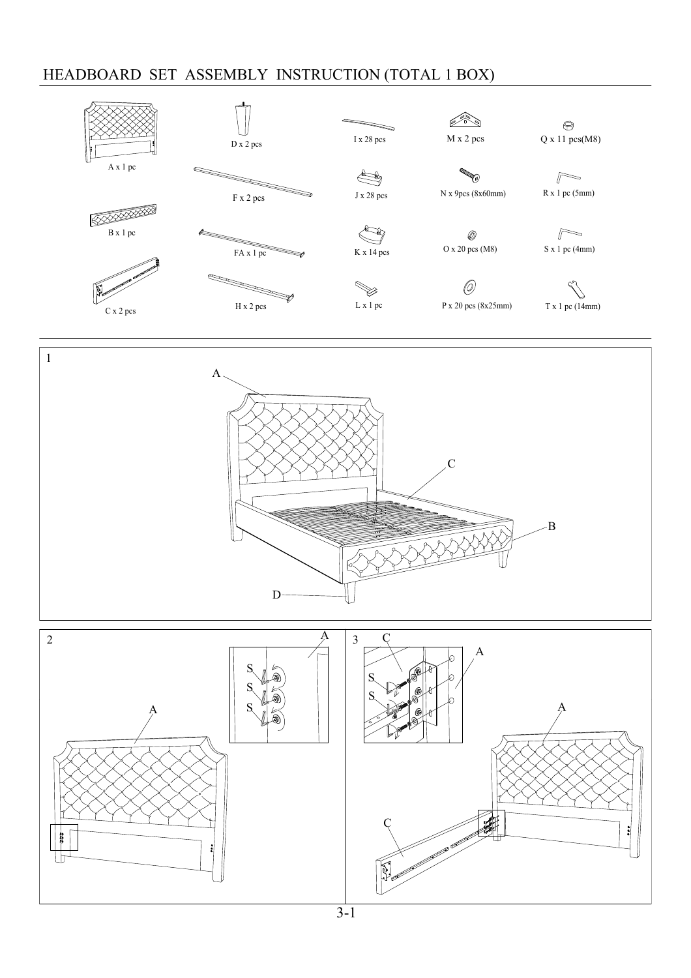## HEADBOARD SET ASSEMBLY INSTRUCTION (TOTAL 1 BOX)

1



 $\overline{3-1}$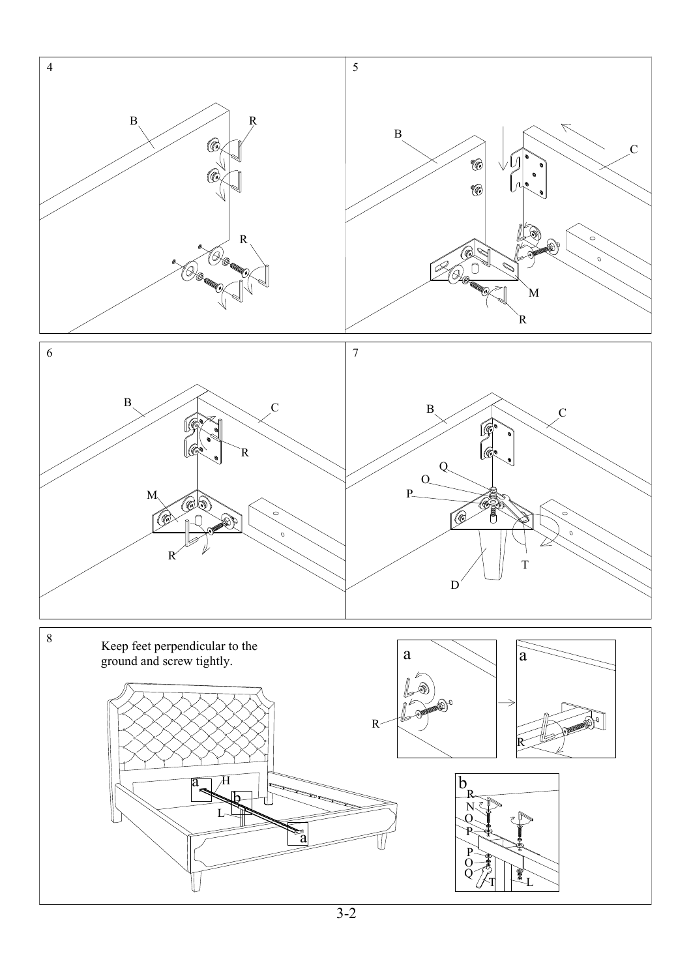